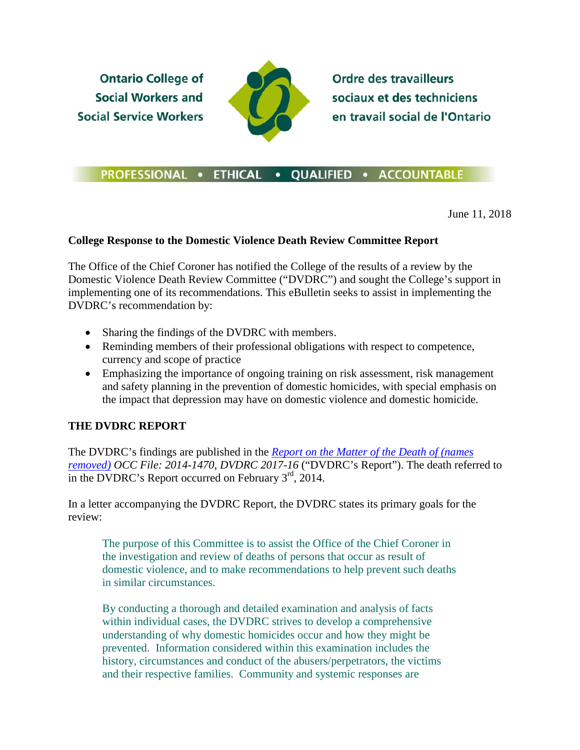**Ontario College of Social Workers and Social Service Workers** 



**Ordre des travailleurs** sociaux et des techniciens en travail social de l'Ontario

## PROFESSIONAL . ETHICAL . QUALIFIED . ACCOUNTABLE

June 11, 2018

## **College Response to the Domestic Violence Death Review Committee Report**

The Office of the Chief Coroner has notified the College of the results of a review by the Domestic Violence Death Review Committee ("DVDRC") and sought the College's support in implementing one of its recommendations. This eBulletin seeks to assist in implementing the DVDRC's recommendation by:

- Sharing the findings of the DVDRC with members.
- Reminding members of their professional obligations with respect to competence, currency and scope of practice
- Emphasizing the importance of ongoing training on risk assessment, risk management and safety planning in the prevention of domestic homicides, with special emphasis on the impact that depression may have on domestic violence and domestic homicide.

## **THE DVDRC REPORT**

The DVDRC's findings are published in the *[Report on the Matter of the Death of \(names](https://www.ocswssw.org/wp-content/uploads/2018/06/DVDRC-2017-16redacted.pdf)  [removed\)](https://www.ocswssw.org/wp-content/uploads/2018/06/DVDRC-2017-16redacted.pdf) OCC File: 2014-1470, DVDRC 2017-16* ("DVDRC's Report"). The death referred to in the DVDRC's Report occurred on February  $3<sup>rd</sup>$ , 2014.

In a letter accompanying the DVDRC Report, the DVDRC states its primary goals for the review:

The purpose of this Committee is to assist the Office of the Chief Coroner in the investigation and review of deaths of persons that occur as result of domestic violence, and to make recommendations to help prevent such deaths in similar circumstances.

By conducting a thorough and detailed examination and analysis of facts within individual cases, the DVDRC strives to develop a comprehensive understanding of why domestic homicides occur and how they might be prevented. Information considered within this examination includes the history, circumstances and conduct of the abusers/perpetrators, the victims and their respective families. Community and systemic responses are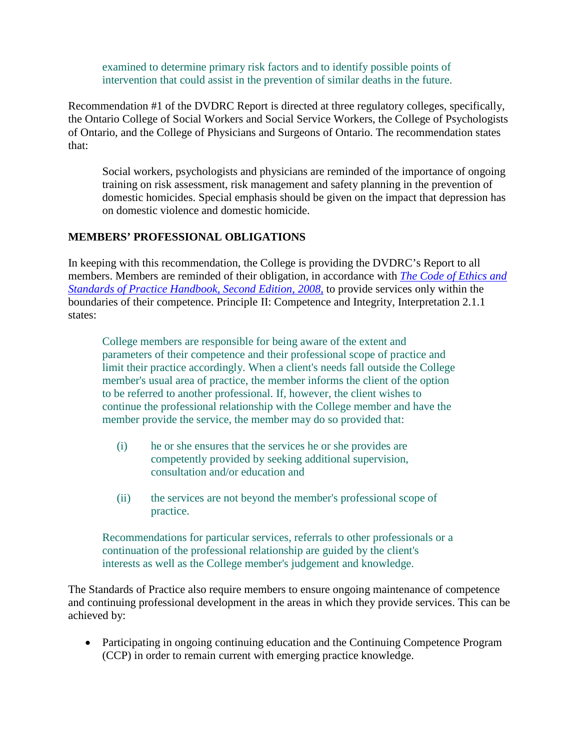examined to determine primary risk factors and to identify possible points of intervention that could assist in the prevention of similar deaths in the future.

Recommendation #1 of the DVDRC Report is directed at three regulatory colleges, specifically, the Ontario College of Social Workers and Social Service Workers, the College of Psychologists of Ontario, and the College of Physicians and Surgeons of Ontario. The recommendation states that:

Social workers, psychologists and physicians are reminded of the importance of ongoing training on risk assessment, risk management and safety planning in the prevention of domestic homicides. Special emphasis should be given on the impact that depression has on domestic violence and domestic homicide.

## **MEMBERS' PROFESSIONAL OBLIGATIONS**

In keeping with this recommendation, the College is providing the DVDRC's Report to all members. Members are reminded of their obligation, in accordance with *[The Code of Ethics and](http://www.ocswssw.org/professional-practice/code-of-ethics/)  [Standards of Practice Handbook, Second](http://www.ocswssw.org/professional-practice/code-of-ethics/) Edition, 2008*, to provide services only within the boundaries of their competence. Principle II: Competence and Integrity, Interpretation 2.1.1 states:

College members are responsible for being aware of the extent and parameters of their competence and their professional scope of practice and limit their practice accordingly. When a client's needs fall outside the College member's usual area of practice, the member informs the client of the option to be referred to another professional. If, however, the client wishes to continue the professional relationship with the College member and have the member provide the service, the member may do so provided that:

- (i) he or she ensures that the services he or she provides are competently provided by seeking additional supervision, consultation and/or education and
- (ii) the services are not beyond the member's professional scope of practice.

Recommendations for particular services, referrals to other professionals or a continuation of the professional relationship are guided by the client's interests as well as the College member's judgement and knowledge.

The Standards of Practice also require members to ensure ongoing maintenance of competence and continuing professional development in the areas in which they provide services. This can be achieved by:

• Participating in ongoing continuing education and the Continuing Competence Program (CCP) in order to remain current with emerging practice knowledge.